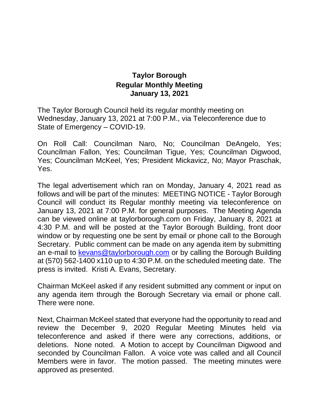## **Taylor Borough Regular Monthly Meeting January 13, 2021**

The Taylor Borough Council held its regular monthly meeting on Wednesday, January 13, 2021 at 7:00 P.M., via Teleconference due to State of Emergency – COVID-19.

On Roll Call: Councilman Naro, No; Councilman DeAngelo, Yes; Councilman Fallon, Yes; Councilman Tigue, Yes; Councilman Digwood, Yes; Councilman McKeel, Yes; President Mickavicz, No; Mayor Praschak, Yes.

The legal advertisement which ran on Monday, January 4, 2021 read as follows and will be part of the minutes: MEETING NOTICE - Taylor Borough Council will conduct its Regular monthly meeting via teleconference on January 13, 2021 at 7:00 P.M. for general purposes. The Meeting Agenda can be viewed online at taylorborough.com on Friday, January 8, 2021 at 4:30 P.M. and will be posted at the Taylor Borough Building, front door window or by requesting one be sent by email or phone call to the Borough Secretary. Public comment can be made on any agenda item by submitting an e-mail to [kevans@taylorborough.com](mailto:kevans@taylorborough.com) or by calling the Borough Building at (570) 562-1400 x110 up to 4:30 P.M. on the scheduled meeting date. The press is invited. Kristi A. Evans, Secretary.

Chairman McKeel asked if any resident submitted any comment or input on any agenda item through the Borough Secretary via email or phone call. There were none.

Next, Chairman McKeel stated that everyone had the opportunity to read and review the December 9, 2020 Regular Meeting Minutes held via teleconference and asked if there were any corrections, additions, or deletions. None noted. A Motion to accept by Councilman Digwood and seconded by Councilman Fallon. A voice vote was called and all Council Members were in favor. The motion passed. The meeting minutes were approved as presented.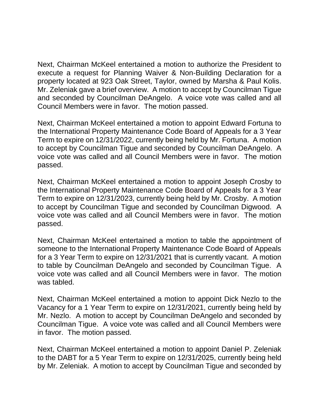Next, Chairman McKeel entertained a motion to authorize the President to execute a request for Planning Waiver & Non-Building Declaration for a property located at 923 Oak Street, Taylor, owned by Marsha & Paul Kolis. Mr. Zeleniak gave a brief overview. A motion to accept by Councilman Tigue and seconded by Councilman DeAngelo. A voice vote was called and all Council Members were in favor. The motion passed.

Next, Chairman McKeel entertained a motion to appoint Edward Fortuna to the International Property Maintenance Code Board of Appeals for a 3 Year Term to expire on 12/31/2022, currently being held by Mr. Fortuna. A motion to accept by Councilman Tigue and seconded by Councilman DeAngelo. A voice vote was called and all Council Members were in favor. The motion passed.

Next, Chairman McKeel entertained a motion to appoint Joseph Crosby to the International Property Maintenance Code Board of Appeals for a 3 Year Term to expire on 12/31/2023, currently being held by Mr. Crosby. A motion to accept by Councilman Tigue and seconded by Councilman Digwood. A voice vote was called and all Council Members were in favor. The motion passed.

Next, Chairman McKeel entertained a motion to table the appointment of someone to the International Property Maintenance Code Board of Appeals for a 3 Year Term to expire on 12/31/2021 that is currently vacant. A motion to table by Councilman DeAngelo and seconded by Councilman Tigue. A voice vote was called and all Council Members were in favor. The motion was tabled.

Next, Chairman McKeel entertained a motion to appoint Dick Nezlo to the Vacancy for a 1 Year Term to expire on 12/31/2021, currently being held by Mr. Nezlo. A motion to accept by Councilman DeAngelo and seconded by Councilman Tigue. A voice vote was called and all Council Members were in favor. The motion passed.

Next, Chairman McKeel entertained a motion to appoint Daniel P. Zeleniak to the DABT for a 5 Year Term to expire on 12/31/2025, currently being held by Mr. Zeleniak. A motion to accept by Councilman Tigue and seconded by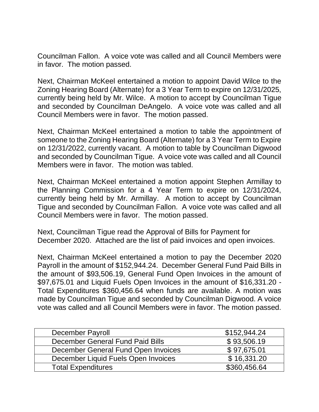Councilman Fallon. A voice vote was called and all Council Members were in favor. The motion passed.

Next, Chairman McKeel entertained a motion to appoint David Wilce to the Zoning Hearing Board (Alternate) for a 3 Year Term to expire on 12/31/2025, currently being held by Mr. Wilce. A motion to accept by Councilman Tigue and seconded by Councilman DeAngelo. A voice vote was called and all Council Members were in favor. The motion passed.

Next, Chairman McKeel entertained a motion to table the appointment of someone to the Zoning Hearing Board (Alternate) for a 3 Year Term to Expire on 12/31/2022, currently vacant. A motion to table by Councilman Digwood and seconded by Councilman Tigue. A voice vote was called and all Council Members were in favor. The motion was tabled.

Next, Chairman McKeel entertained a motion appoint Stephen Armillay to the Planning Commission for a 4 Year Term to expire on 12/31/2024, currently being held by Mr. Armillay. A motion to accept by Councilman Tigue and seconded by Councilman Fallon. A voice vote was called and all Council Members were in favor. The motion passed.

Next, Councilman Tigue read the Approval of Bills for Payment for December 2020. Attached are the list of paid invoices and open invoices.

Next, Chairman McKeel entertained a motion to pay the December 2020 Payroll in the amount of \$152,944.24. December General Fund Paid Bills in the amount of \$93,506.19, General Fund Open Invoices in the amount of \$97,675.01 and Liquid Fuels Open Invoices in the amount of \$16,331.20 - Total Expenditures \$360,456.64 when funds are available. A motion was made by Councilman Tigue and seconded by Councilman Digwood. A voice vote was called and all Council Members were in favor. The motion passed.

| <b>December Payroll</b>             | \$152,944.24 |
|-------------------------------------|--------------|
| December General Fund Paid Bills    | \$93,506.19  |
| December General Fund Open Invoices | \$97,675.01  |
| December Liquid Fuels Open Invoices | \$16,331.20  |
| <b>Total Expenditures</b>           | \$360,456.64 |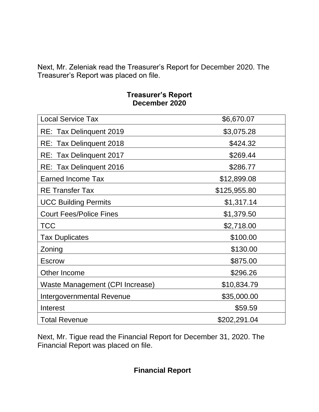Next, Mr. Zeleniak read the Treasurer's Report for December 2020. The Treasurer's Report was placed on file.

## **Treasurer's Report December 2020**

| <b>Local Service Tax</b>        | \$6,670.07   |
|---------------------------------|--------------|
| RE: Tax Delinquent 2019         | \$3,075.28   |
| RE: Tax Delinquent 2018         | \$424.32     |
| RE: Tax Delinguent 2017         | \$269.44     |
| RE: Tax Delinquent 2016         | \$286.77     |
| <b>Earned Income Tax</b>        | \$12,899.08  |
| <b>RE Transfer Tax</b>          | \$125,955.80 |
| <b>UCC Building Permits</b>     | \$1,317.14   |
| <b>Court Fees/Police Fines</b>  | \$1,379.50   |
| <b>TCC</b>                      | \$2,718.00   |
| <b>Tax Duplicates</b>           | \$100.00     |
| Zoning                          | \$130.00     |
| <b>Escrow</b>                   | \$875.00     |
| Other Income                    | \$296.26     |
| Waste Management (CPI Increase) | \$10,834.79  |
| Intergovernmental Revenue       | \$35,000.00  |
| Interest                        | \$59.59      |
| <b>Total Revenue</b>            | \$202,291.04 |

Next, Mr. Tigue read the Financial Report for December 31, 2020. The Financial Report was placed on file.

 **Financial Report**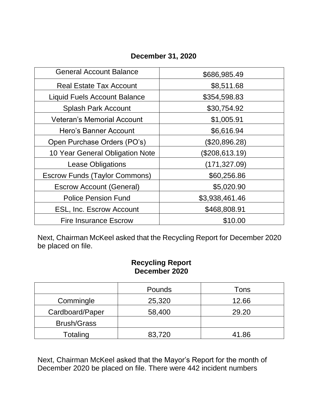## **December 31, 2020**

| <b>General Account Balance</b>       | \$686,985.49   |
|--------------------------------------|----------------|
| <b>Real Estate Tax Account</b>       | \$8,511.68     |
| <b>Liquid Fuels Account Balance</b>  | \$354,598.83   |
| <b>Splash Park Account</b>           | \$30,754.92    |
| <b>Veteran's Memorial Account</b>    | \$1,005.91     |
| Hero's Banner Account                | \$6,616.94     |
| Open Purchase Orders (PO's)          | (\$20,896.28)  |
| 10 Year General Obligation Note      | (\$208,613.19) |
| <b>Lease Obligations</b>             | (171,327.09)   |
| <b>Escrow Funds (Taylor Commons)</b> | \$60,256.86    |
| <b>Escrow Account (General)</b>      | \$5,020.90     |
| <b>Police Pension Fund</b>           | \$3,938,461.46 |
| <b>ESL, Inc. Escrow Account</b>      | \$468,808.91   |
| <b>Fire Insurance Escrow</b>         | \$10.00        |

Next, Chairman McKeel asked that the Recycling Report for December 2020 be placed on file.

## **Recycling Report December 2020**

|                    | Pounds | Tons  |
|--------------------|--------|-------|
| Commingle          | 25,320 | 12.66 |
| Cardboard/Paper    | 58,400 | 29.20 |
| <b>Brush/Grass</b> |        |       |
| Totaling           | 83,720 | 41.86 |

Next, Chairman McKeel asked that the Mayor's Report for the month of December 2020 be placed on file. There were 442 incident numbers